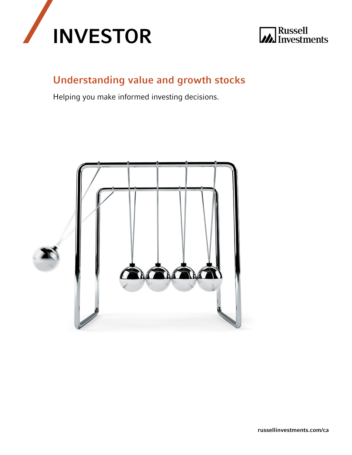



# Understanding value and growth stocks

Helping you make informed investing decisions.

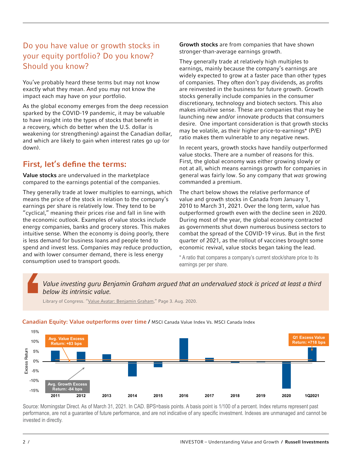## Do you have value or growth stocks in your equity portfolio? Do you know? Should you know?

You've probably heard these terms but may not know exactly what they mean. And you may not know the impact each may have on your portfolio.

As the global economy emerges from the deep recession sparked by the COVID-19 pandemic, it may be valuable to have insight into the types of stocks that benefit in a recovery, which do better when the U.S. dollar is weakening (or strengthening) against the Canadian dollar, and which are likely to gain when interest rates go up (or down).

### First, let's define the terms:

Value stocks are undervalued in the marketplace compared to the earnings potential of the companies.

They generally trade at lower multiples to earnings, which means the price of the stock in relation to the company's earnings per share is relatively low. They tend to be "cyclical," meaning their prices rise and fall in line with the economic outlook. Examples of value stocks include energy companies, banks and grocery stores. This makes intuitive sense. When the economy is doing poorly, there is less demand for business loans and people tend to spend and invest less. Companies may reduce production, and with lower consumer demand, there is less energy consumption used to transport goods.

Growth stocks are from companies that have shown stronger-than-average earnings growth.

They generally trade at relatively high multiples to earnings, mainly because the company's earnings are widely expected to grow at a faster pace than other types of companies. They often don't pay dividends, as profits are reinvested in the business for future growth. Growth stocks generally include companies in the consumer discretionary, technology and biotech sectors. This also makes intuitive sense. These are companies that may be launching new and/or innovate products that consumers desire. One important consideration is that growth stocks may be volatile, as their higher price-to-earnings\* (P/E) ratio makes them vulnerable to any negative news.

In recent years, growth stocks have handily outperformed value stocks. There are a number of reasons for this. First, the global economy was either growing slowly or not at all, which means earnings growth for companies in general was fairly low. So any company that *was* growing commanded a premium.

The chart below shows the relative performance of value and growth stocks in Canada from January 1, 2010 to March 31, 2021. Over the long term, value has outperformed growth even with the decline seen in 2020. During most of the year, the global economy contracted as governments shut down numerous business sectors to combat the spread of the COVID-19 virus. But in the first quarter of 2021, as the rollout of vaccines brought some economic revival, value stocks began taking the lead.

\* A ratio that compares a company's current stock/share price to its earnings per per share.

*Value investing guru Benjamin Graham argued that an undervalued stock is priced at least a third below its intrinsic value.*

Library of Congress. ["Value Avatar: Benjamin Graham](http://catdir.loc.gov/catdir/samples/wiley031/2001045612.pdf)," Page 3. Aug. 2020.

#### Canadian Equity: Value outperforms over time / MSCI Canada Value Index Vs. MSCI Canada Index



Source: Morningstar Direct. As of March 31, 2021. In CAD. BPS=basis points. A basis point is 1/100 of a percent. Index returns represent past performance, are not a guarantee of future performance, and are not indicative of any specific investment. Indexes are unmanaged and cannot be invested in directly.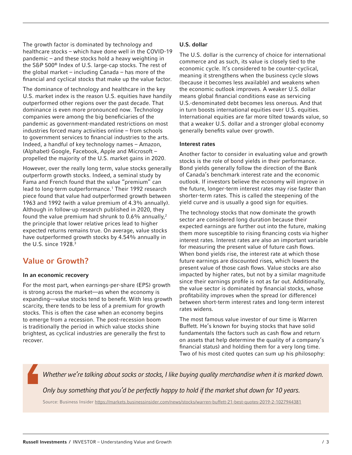The growth factor is dominated by technology and healthcare stocks – which have done well in the COVID-19 pandemic – and these stocks hold a heavy weighting in the S&P 500® Index of U.S. large-cap stocks. The rest of the global market – including Canada – has more of the financial and cyclical stocks that make up the value factor.

The dominance of technology and healthcare in the key U.S. market index is the reason U.S. equities have handily outperformed other regions over the past decade. That dominance is even more pronounced now. Technology companies were among the big beneficiaries of the pandemic as government-mandated restrictions on most industries forced many activities online – from schools to government services to financial industries to the arts. Indeed, a handful of key technology names – Amazon, (Alphabet) Google, Facebook, Apple and Microsoft – propelled the majority of the U.S. market gains in 2020.

However, over the really long term, value stocks generally outperform growth stocks. Indeed, a seminal study by Fama and French found that the value "premium" can lead to long-term outperformance.<sup>1</sup> Their 1992 research piece found that value had outperformed growth between 1963 and 1992 (with a value premium of 4.3% annually). Although in follow-up research published in 2020, they found the value premium had shrunk to 0.6% annually,<sup>2</sup> the principle that lower relative prices lead to higher expected returns remains true. On average, value stocks have outperformed growth stocks by 4.54% annually in the U.S. since 1928.<sup>3</sup>

### Value or Growth?

#### In an economic recovery

For the most part, when earnings-per-share (EPS) growth is strong across the market—as when the economy is expanding—value stocks tend to benefit. With less growth scarcity, there tends to be less of a premium for growth stocks. This is often the case when an economy begins to emerge from a recession. The post-recession boom is traditionally the period in which value stocks shine brightest, as cyclical industries are generally the first to recover.

### U.S. dollar

The U.S. dollar is the currency of choice for international commerce and as such, its value is closely tied to the economic cycle. It's considered to be counter-cyclical, meaning it strengthens when the business cycle slows (because it becomes less available) and weakens when the economic outlook improves. A weaker U.S. dollar means global financial conditions ease as servicing U.S.-denominated debt becomes less onerous. And that in turn boosts international equities over U.S. equities. International equities are far more tilted towards value, so that a weaker U.S. dollar and a stronger global economy generally benefits value over growth.

### Interest rates

Another factor to consider in evaluating value and growth stocks is the role of bond yields in their performance. Bond yields generally follow the direction of the Bank of Canada's benchmark interest rate and the economic outlook. If investors believe the economy will improve in the future, longer-term interest rates may rise faster than shorter-term rates. This is called the steepening of the yield curve and is usually a good sign for equities.

The technology stocks that now dominate the growth sector are considered long duration because their expected earnings are further out into the future, making them more susceptible to rising financing costs via higher interest rates. Interest rates are also an important variable for measuring the present value of future cash flows. When bond yields rise, the interest rate at which those future earnings are discounted rises, which lowers the present value of those cash flows. Value stocks are also impacted by higher rates, but not by a similar magnitude since their earnings profile is not as far out. Additionally, the value sector is dominated by financial stocks, whose profitability improves when the spread (or difference) between short-term interest rates and long-term interest rates widens.

The most famous value investor of our time is Warren Buffett. He's known for buying stocks that have solid fundamentals (the factors such as cash flow and return on assets that help determine the quality of a company's financial status) and holding them for a very long time. Two of his most cited quotes can sum up his philosophy:

*Whether we're talking about socks or stocks, I like buying quality merchandise when it is marked down.*

*Only buy something that you'd be perfectly happy to hold if the market shut down for 10 years.*

Source: Business Insider<https://markets.businessinsider.com/news/stocks/warren-buffett-21-best-quotes-2019-2-1027944381>